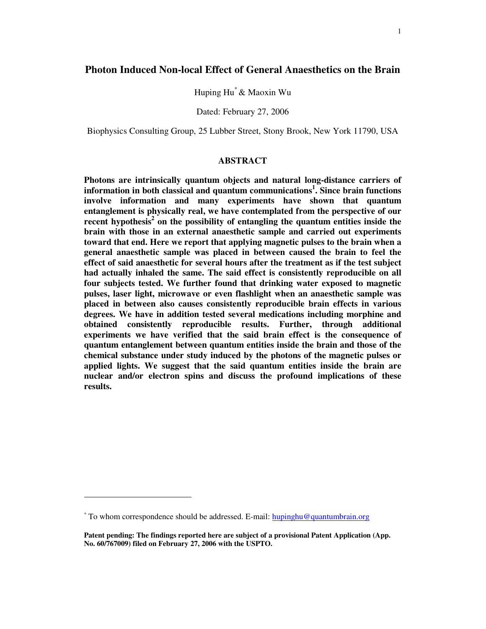Huping Hu \*& Maoxin Wu

Dated: February 27, 2006

Biophysics Consulting Group, 25 Lubber Street, Stony Brook, New York 11790, USA

## **ABSTRACT**

**Photons are intrinsically quantum objects and natural long-distance carriers of information in both classical and quantum communications 1 . Since brain functions involve information and many experiments have shown that quantum entanglement is physically real, we have contemplated from the perspective of our recent hypothesis 2 on the possibility of entangling the quantum entities inside the brain with those in an external anaesthetic sample and carried out experiments toward that end. Here we report that applying magnetic pulses to the brain when a general anaesthetic sample was placed in between caused the brain to feel the effect of said anaesthetic for several hours after the treatment as if the test subject had actually inhaled the same. The said effect is consistently reproducible on all four subjects tested. We further found that drinking water exposed to magnetic pulses, laser light, microwave or even flashlight when an anaesthetic sample was placed in between also causes consistently reproducible brain effects in various degrees. We have in addition tested several medications including morphine and obtained consistently reproducible results. Further, through additional experiments we have verified that the said brain effect is the consequence of quantum entanglement between quantum entities inside the brain and those of the chemical substance under study induced by the photons of the magnetic pulses or applied lights. We suggest that the said quantum entities inside the brain are nuclear and/or electron spins and discuss the profound implications of these results.**

 $*$  To whom correspondence should be addressed. E-mail: hupinghu@quantumbrain.org

**Patent pending: The findings reported here are subject of a provisional Patent Application (App. No. 60/767009) filed on February 27, 2006 with the USPTO.**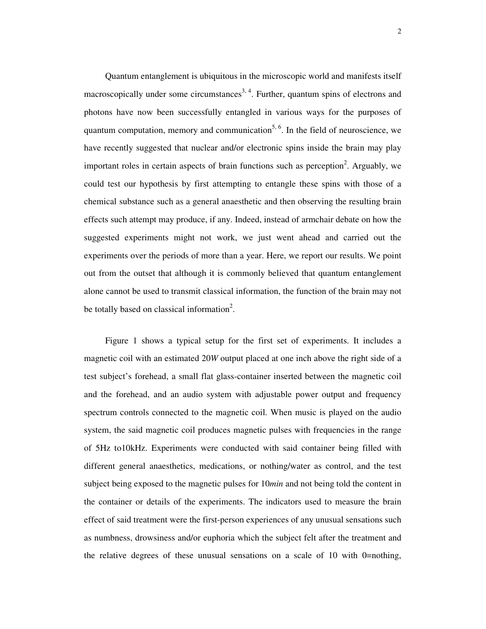Quantum entanglement is ubiquitous in the microscopic world and manifests itself macroscopically under some circumstances<sup>3, 4</sup>. Further, quantum spins of electrons and photons have now been successfully entangled in various ways for the purposes of quantum computation, memory and communication<sup>5, 6</sup>. In the field of neuroscience, we have recently suggested that nuclear and/or electronic spins inside the brain may play important roles in certain aspects of brain functions such as perception<sup>2</sup>. Arguably, we could test our hypothesis by first attempting to entangle these spins with those of a chemical substance such as a general anaesthetic and then observing the resulting brain effects such attempt may produce, if any. Indeed, instead of armchair debate on how the suggested experiments might not work, we just went ahead and carried out the experiments over the periods of more than a year. Here, we report our results. We point out from the outset that although it is commonly believed that quantum entanglement alone cannot be used to transmit classical information, the function of the brain may not be totally based on classical information<sup>2</sup>.

Figure 1 shows a typical setup for the first set of experiments. It includes a magnetic coil with an estimated 20*W* output placed at one inch above the right side of a test subject's forehead, a small flat glass-container inserted between the magnetic coil and the forehead, and an audio system with adjustable power output and frequency spectrum controls connected to the magnetic coil. When music is played on the audio system, the said magnetic coil produces magnetic pulses with frequencies in the range of 5Hz to10kHz. Experiments were conducted with said container being filled with different general anaesthetics, medications, or nothing/water as control, and the test subject being exposed to the magnetic pulses for 10*min* and not being told the content in the container or details of the experiments. The indicators used to measure the brain effect of said treatment were the first-person experiences of any unusual sensations such as numbness, drowsiness and/or euphoria which the subject felt after the treatment and the relative degrees of these unusual sensations on a scale of 10 with 0=nothing,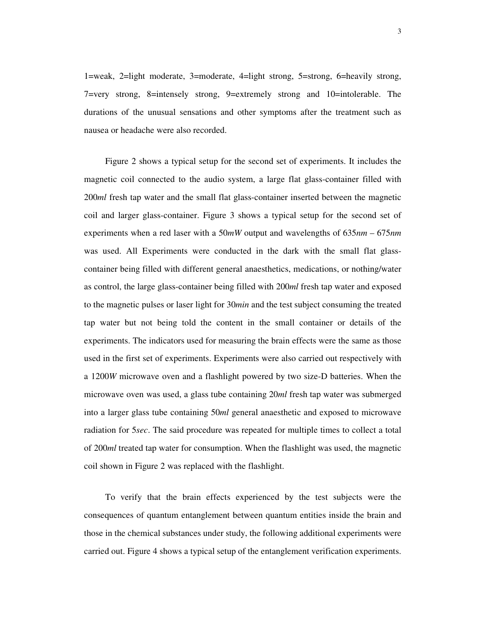1=weak, 2=light moderate, 3=moderate, 4=light strong, 5=strong, 6=heavily strong, 7=very strong, 8=intensely strong, 9=extremely strong and 10=intolerable. The durations of the unusual sensations and other symptoms after the treatment such as nausea or headache were also recorded.

Figure 2 shows a typical setup for the second set of experiments. It includes the magnetic coil connected to the audio system, a large flat glass-container filled with 200*ml* fresh tap water and the small flat glass-container inserted between the magnetic coil and larger glass-container. Figure 3 shows a typical setup for the second set of experiments when a red laser with a 50*mW* output and wavelengths of 635*nm* – 675*nm* was used. All Experiments were conducted in the dark with the small flat glasscontainer being filled with different general anaesthetics, medications, or nothing/water as control, the large glass-container being filled with 200*ml* fresh tap water and exposed to the magnetic pulses or laser light for 30*min* and the test subject consuming the treated tap water but not being told the content in the small container or details of the experiments. The indicators used for measuring the brain effects were the same as those used in the first set of experiments. Experiments were also carried out respectively with a 1200*W* microwave oven and a flashlight powered by two size-D batteries. When the microwave oven was used, a glass tube containing 20*ml* fresh tap water was submerged into a larger glass tube containing 50*ml* general anaesthetic and exposed to microwave radiation for 5*sec*. The said procedure was repeated for multiple times to collect a total of 200*ml* treated tap water for consumption. When the flashlight was used, the magnetic coil shown in Figure 2 was replaced with the flashlight.

To verify that the brain effects experienced by the test subjects were the consequences of quantum entanglement between quantum entities inside the brain and those in the chemical substances under study, the following additional experiments were carried out. Figure 4 shows a typical setup of the entanglement verification experiments.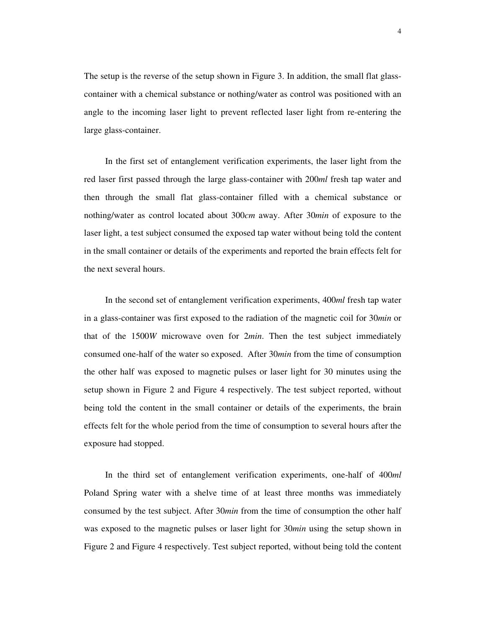The setup is the reverse of the setup shown in Figure 3. In addition, the small flat glasscontainer with a chemical substance or nothing/water as control was positioned with an angle to the incoming laser light to prevent reflected laser light from re-entering the large glass-container.

In the first set of entanglement verification experiments, the laser light from the red laser first passed through the large glass-container with 200*ml* fresh tap water and then through the small flat glass-container filled with a chemical substance or nothing/water as control located about 300*cm* away. After 30*min* of exposure to the laser light, a test subject consumed the exposed tap water without being told the content in the small container or details of the experiments and reported the brain effects felt for the next several hours.

In the second set of entanglement verification experiments, 400*ml* fresh tap water in a glass-container was first exposed to the radiation of the magnetic coil for 30*min* or that of the 1500*W* microwave oven for 2*min*. Then the test subject immediately consumed one-half of the water so exposed. After 30*min* from the time of consumption the other half was exposed to magnetic pulses or laser light for 30 minutes using the setup shown in Figure 2 and Figure 4 respectively. The test subject reported, without being told the content in the small container or details of the experiments, the brain effects felt for the whole period from the time of consumption to several hours after the exposure had stopped.

In the third set of entanglement verification experiments, one-half of 400*ml* Poland Spring water with a shelve time of at least three months was immediately consumed by the test subject. After 30*min* from the time of consumption the other half was exposed to the magnetic pulses or laser light for 30*min* using the setup shown in Figure 2 and Figure 4 respectively. Test subject reported, without being told the content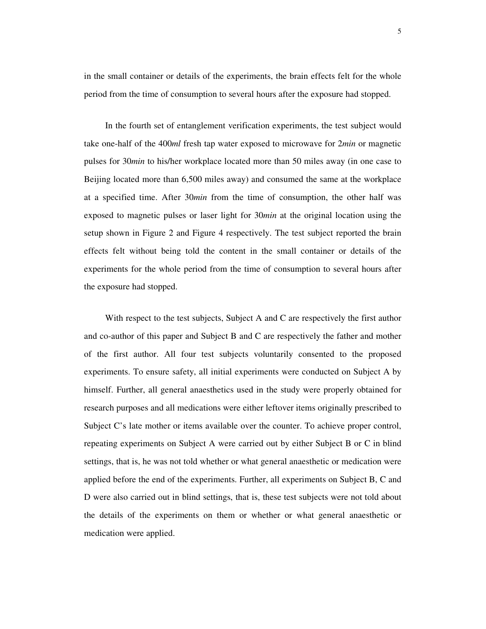in the small container or details of the experiments, the brain effects felt for the whole period from the time of consumption to several hours after the exposure had stopped.

In the fourth set of entanglement verification experiments, the test subject would take one-half of the 400*ml* fresh tap water exposed to microwave for 2*min* or magnetic pulses for 30*min* to his/her workplace located more than 50 miles away (in one case to Beijing located more than 6,500 miles away) and consumed the same at the workplace at a specified time. After 30*min* from the time of consumption, the other half was exposed to magnetic pulses or laser light for 30*min* at the original location using the setup shown in Figure 2 and Figure 4 respectively. The test subject reported the brain effects felt without being told the content in the small container or details of the experiments for the whole period from the time of consumption to several hours after the exposure had stopped.

With respect to the test subjects, Subject A and C are respectively the first author and co-author of this paper and Subject B and C are respectively the father and mother of the first author. All four test subjects voluntarily consented to the proposed experiments. To ensure safety, all initial experiments were conducted on Subject A by himself. Further, all general anaesthetics used in the study were properly obtained for research purposes and all medications were either leftover items originally prescribed to Subject C's late mother or items available over the counter. To achieve proper control, repeating experiments on Subject A were carried out by either Subject B or C in blind settings, that is, he was not told whether or what general anaesthetic or medication were applied before the end of the experiments. Further, all experiments on Subject B, C and D were also carried out in blind settings, that is, these test subjects were not told about the details of the experiments on them or whether or what general anaesthetic or medication were applied.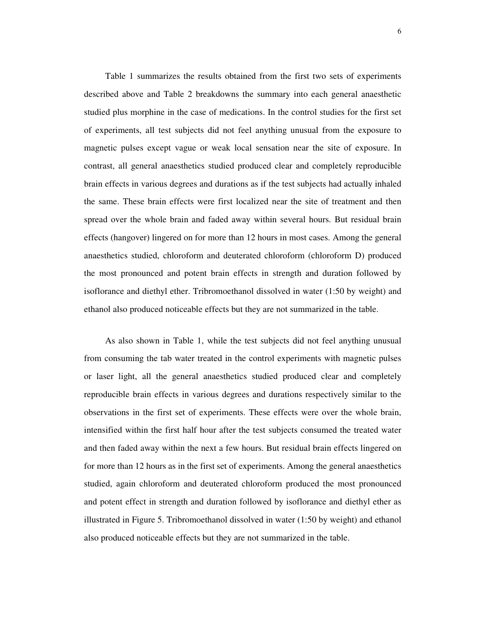Table 1 summarizes the results obtained from the first two sets of experiments described above and Table 2 breakdowns the summary into each general anaesthetic studied plus morphine in the case of medications. In the control studies for the first set of experiments, all test subjects did not feel anything unusual from the exposure to magnetic pulses except vague or weak local sensation near the site of exposure. In contrast, all general anaesthetics studied produced clear and completely reproducible brain effects in various degrees and durations as if the test subjects had actually inhaled the same. These brain effects were first localized near the site of treatment and then spread over the whole brain and faded away within several hours. But residual brain effects (hangover) lingered on for more than 12 hours in most cases. Among the general anaesthetics studied, chloroform and deuterated chloroform (chloroform D) produced the most pronounced and potent brain effects in strength and duration followed by isoflorance and diethyl ether. Tribromoethanol dissolved in water (1:50 by weight) and ethanol also produced noticeable effects but they are not summarized in the table.

As also shown in Table 1, while the test subjects did not feel anything unusual from consuming the tab water treated in the control experiments with magnetic pulses or laser light, all the general anaesthetics studied produced clear and completely reproducible brain effects in various degrees and durations respectively similar to the observations in the first set of experiments. These effects were over the whole brain, intensified within the first half hour after the test subjects consumed the treated water and then faded away within the next a few hours. But residual brain effects lingered on for more than 12 hours as in the first set of experiments. Among the general anaesthetics studied, again chloroform and deuterated chloroform produced the most pronounced and potent effect in strength and duration followed by isoflorance and diethyl ether as illustrated in Figure 5. Tribromoethanol dissolved in water (1:50 by weight) and ethanol also produced noticeable effects but they are not summarized in the table.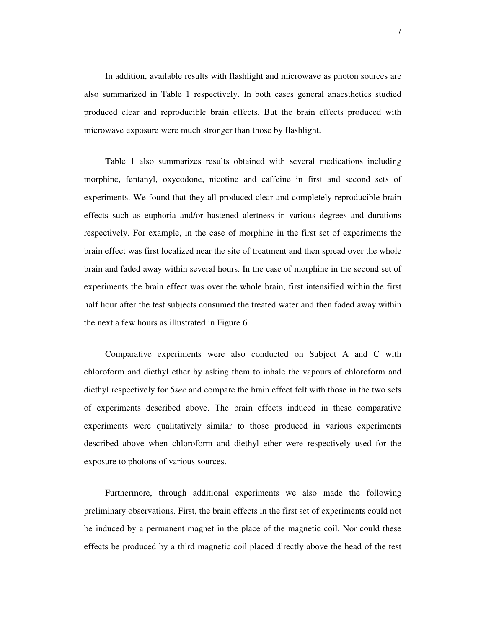In addition, available results with flashlight and microwave as photon sources are also summarized in Table 1 respectively. In both cases general anaesthetics studied produced clear and reproducible brain effects. But the brain effects produced with microwave exposure were much stronger than those by flashlight.

Table 1 also summarizes results obtained with several medications including morphine, fentanyl, oxycodone, nicotine and caffeine in first and second sets of experiments. We found that they all produced clear and completely reproducible brain effects such as euphoria and/or hastened alertness in various degrees and durations respectively. For example, in the case of morphine in the first set of experiments the brain effect was first localized near the site of treatment and then spread over the whole brain and faded away within several hours. In the case of morphine in the second set of experiments the brain effect was over the whole brain, first intensified within the first half hour after the test subjects consumed the treated water and then faded away within the next a few hours as illustrated in Figure 6.

Comparative experiments were also conducted on Subject A and C with chloroform and diethyl ether by asking them to inhale the vapours of chloroform and diethyl respectively for 5*sec* and compare the brain effect felt with those in the two sets of experiments described above. The brain effects induced in these comparative experiments were qualitatively similar to those produced in various experiments described above when chloroform and diethyl ether were respectively used for the exposure to photons of various sources.

Furthermore, through additional experiments we also made the following preliminary observations. First, the brain effects in the first set of experiments could not be induced by a permanent magnet in the place of the magnetic coil. Nor could these effects be produced by a third magnetic coil placed directly above the head of the test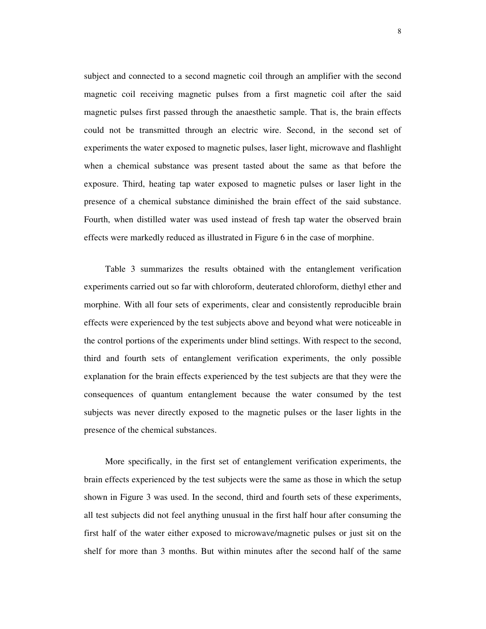subject and connected to a second magnetic coil through an amplifier with the second magnetic coil receiving magnetic pulses from a first magnetic coil after the said magnetic pulses first passed through the anaesthetic sample. That is, the brain effects could not be transmitted through an electric wire. Second, in the second set of experiments the water exposed to magnetic pulses, laser light, microwave and flashlight when a chemical substance was present tasted about the same as that before the exposure. Third, heating tap water exposed to magnetic pulses or laser light in the presence of a chemical substance diminished the brain effect of the said substance. Fourth, when distilled water was used instead of fresh tap water the observed brain effects were markedly reduced as illustrated in Figure 6 in the case of morphine.

Table 3 summarizes the results obtained with the entanglement verification experiments carried out so far with chloroform, deuterated chloroform, diethyl ether and morphine. With all four sets of experiments, clear and consistently reproducible brain effects were experienced by the test subjects above and beyond what were noticeable in the control portions of the experiments under blind settings. With respect to the second, third and fourth sets of entanglement verification experiments, the only possible explanation for the brain effects experienced by the test subjects are that they were the consequences of quantum entanglement because the water consumed by the test subjects was never directly exposed to the magnetic pulses or the laser lights in the presence of the chemical substances.

More specifically, in the first set of entanglement verification experiments, the brain effects experienced by the test subjects were the same as those in which the setup shown in Figure 3 was used. In the second, third and fourth sets of these experiments, all test subjects did not feel anything unusual in the first half hour after consuming the first half of the water either exposed to microwave/magnetic pulses or just sit on the shelf for more than 3 months. But within minutes after the second half of the same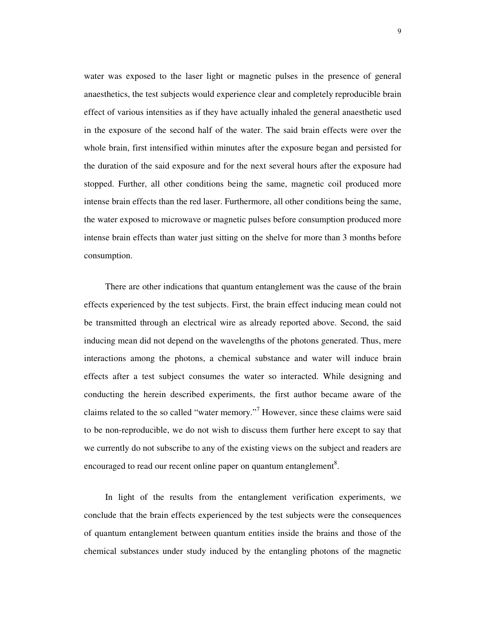water was exposed to the laser light or magnetic pulses in the presence of general anaesthetics, the test subjects would experience clear and completely reproducible brain effect of various intensities as if they have actually inhaled the general anaesthetic used in the exposure of the second half of the water. The said brain effects were over the whole brain, first intensified within minutes after the exposure began and persisted for the duration of the said exposure and for the next several hours after the exposure had stopped. Further, all other conditions being the same, magnetic coil produced more intense brain effects than the red laser. Furthermore, all other conditions being the same, the water exposed to microwave or magnetic pulses before consumption produced more intense brain effects than water just sitting on the shelve for more than 3 months before consumption.

There are other indications that quantum entanglement was the cause of the brain effects experienced by the test subjects. First, the brain effect inducing mean could not be transmitted through an electrical wire as already reported above. Second, the said inducing mean did not depend on the wavelengths of the photons generated. Thus, mere interactions among the photons, a chemical substance and water will induce brain effects after a test subject consumes the water so interacted. While designing and conducting the herein described experiments, the first author became aware of the claims related to the so called "water memory."<sup>7</sup> However, since these claims were said to be non-reproducible, we do not wish to discuss them further here except to say that we currently do not subscribe to any of the existing views on the subject and readers are encouraged to read our recent online paper on quantum entanglement $^8$ .

In light of the results from the entanglement verification experiments, we conclude that the brain effects experienced by the test subjects were the consequences of quantum entanglement between quantum entities inside the brains and those of the chemical substances under study induced by the entangling photons of the magnetic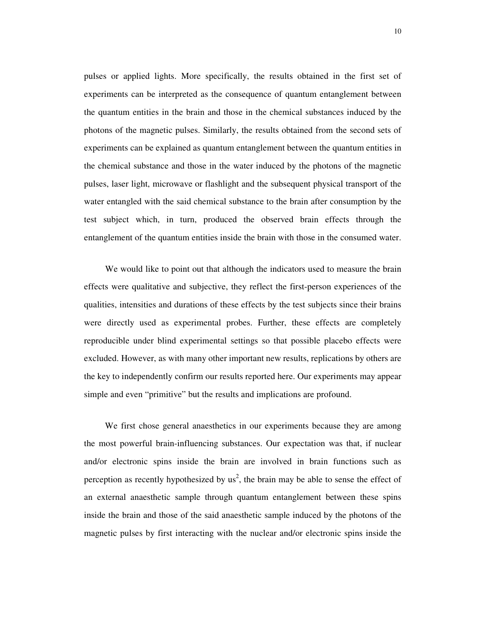pulses or applied lights. More specifically, the results obtained in the first set of experiments can be interpreted as the consequence of quantum entanglement between the quantum entities in the brain and those in the chemical substances induced by the photons of the magnetic pulses. Similarly, the results obtained from the second sets of experiments can be explained as quantum entanglement between the quantum entities in the chemical substance and those in the water induced by the photons of the magnetic pulses, laser light, microwave or flashlight and the subsequent physical transport of the water entangled with the said chemical substance to the brain after consumption by the test subject which, in turn, produced the observed brain effects through the entanglement of the quantum entities inside the brain with those in the consumed water.

We would like to point out that although the indicators used to measure the brain effects were qualitative and subjective, they reflect the first-person experiences of the qualities, intensities and durations of these effects by the test subjects since their brains were directly used as experimental probes. Further, these effects are completely reproducible under blind experimental settings so that possible placebo effects were excluded. However, as with many other important new results, replications by others are the key to independently confirm our results reported here. Our experiments may appear simple and even "primitive" but the results and implications are profound.

We first chose general anaesthetics in our experiments because they are among the most powerful brain-influencing substances. Our expectation was that, if nuclear and/or electronic spins inside the brain are involved in brain functions such as perception as recently hypothesized by  $us^2$ , the brain may be able to sense the effect of an external anaesthetic sample through quantum entanglement between these spins inside the brain and those of the said anaesthetic sample induced by the photons of the magnetic pulses by first interacting with the nuclear and/or electronic spins inside the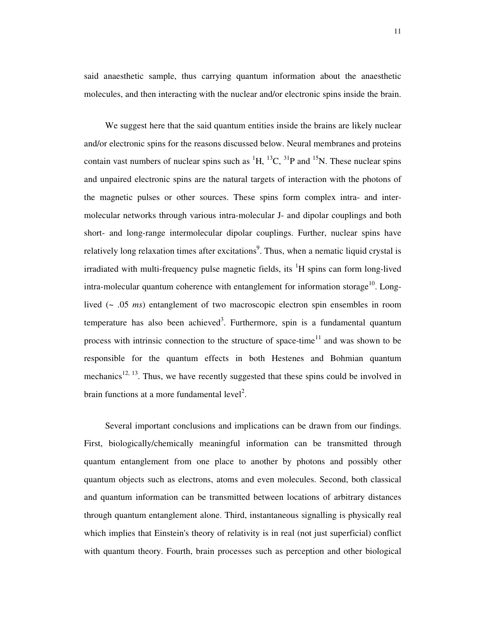said anaesthetic sample, thus carrying quantum information about the anaesthetic molecules, and then interacting with the nuclear and/or electronic spins inside the brain.

We suggest here that the said quantum entities inside the brains are likely nuclear and/or electronic spins for the reasons discussed below. Neural membranes and proteins contain vast numbers of nuclear spins such as  ${}^{1}H$ ,  ${}^{13}C$ ,  ${}^{31}P$  and  ${}^{15}N$ . These nuclear spins and unpaired electronic spins are the natural targets of interaction with the photons of the magnetic pulses or other sources. These spins form complex intra- and intermolecular networks through various intra-molecular J- and dipolar couplings and both short- and long-range intermolecular dipolar couplings. Further, nuclear spins have relatively long relaxation times after excitations<sup>9</sup>. Thus, when a nematic liquid crystal is irradiated with multi-frequency pulse magnetic fields, its <sup>1</sup>H spins can form long-lived intra-molecular quantum coherence with entanglement for information storage<sup>10</sup>. Longlived (~ .05 *ms*) entanglement of two macroscopic electron spin ensembles in room temperature has also been achieved<sup>3</sup>. Furthermore, spin is a fundamental quantum process with intrinsic connection to the structure of space-time<sup>11</sup> and was shown to be responsible for the quantum effects in both Hestenes and Bohmian quantum mechanics<sup>12, 13</sup>. Thus, we have recently suggested that these spins could be involved in brain functions at a more fundamental  $level^2$ .

Several important conclusions and implications can be drawn from our findings. First, biologically/chemically meaningful information can be transmitted through quantum entanglement from one place to another by photons and possibly other quantum objects such as electrons, atoms and even molecules. Second, both classical and quantum information can be transmitted between locations of arbitrary distances through quantum entanglement alone. Third, instantaneous signalling is physically real which implies that Einstein's theory of relativity is in real (not just superficial) conflict with quantum theory. Fourth, brain processes such as perception and other biological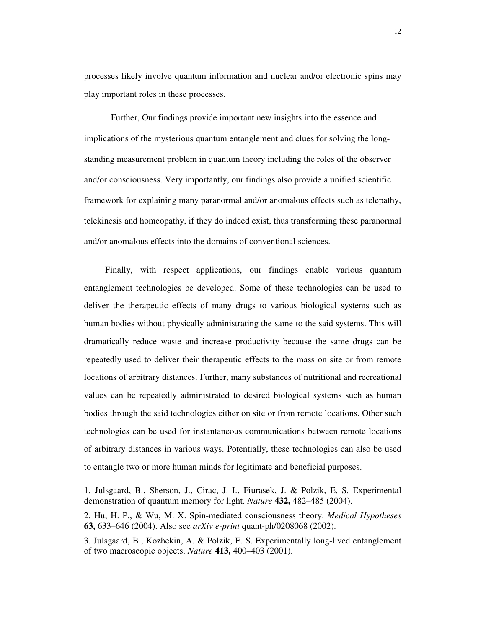processes likely involve quantum information and nuclear and/or electronic spins may play important roles in these processes.

Further, Our findings provide important new insights into the essence and implications of the mysterious quantum entanglement and clues for solving the longstanding measurement problem in quantum theory including the roles of the observer and/or consciousness. Very importantly, our findings also provide a unified scientific framework for explaining many paranormal and/or anomalous effects such as telepathy, telekinesis and homeopathy, if they do indeed exist, thus transforming these paranormal and/or anomalous effects into the domains of conventional sciences.

Finally, with respect applications, our findings enable various quantum entanglement technologies be developed. Some of these technologies can be used to deliver the therapeutic effects of many drugs to various biological systems such as human bodies without physically administrating the same to the said systems. This will dramatically reduce waste and increase productivity because the same drugs can be repeatedly used to deliver their therapeutic effects to the mass on site or from remote locations of arbitrary distances. Further, many substances of nutritional and recreational values can be repeatedly administrated to desired biological systems such as human bodies through the said technologies either on site or from remote locations. Other such technologies can be used for instantaneous communications between remote locations of arbitrary distances in various ways. Potentially, these technologies can also be used to entangle two or more human minds for legitimate and beneficial purposes.

1. Julsgaard, B., Sherson, J., Cirac, J. I., Fiurasek, J. & Polzik, E. S. Experimental demonstration of quantum memory for light. *Nature* **432,** 482–485 (2004).

2. Hu, H. P., & Wu, M. X. Spin-mediated consciousness theory. *Medical Hypotheses* **63,** 633–646 (2004). Also see *arXiv e-print* quant-ph/0208068 (2002).

3. Julsgaard, B., Kozhekin, A. & Polzik, E. S. Experimentally long-lived entanglement of two macroscopic objects. *Nature* **413,** 400–403 (2001).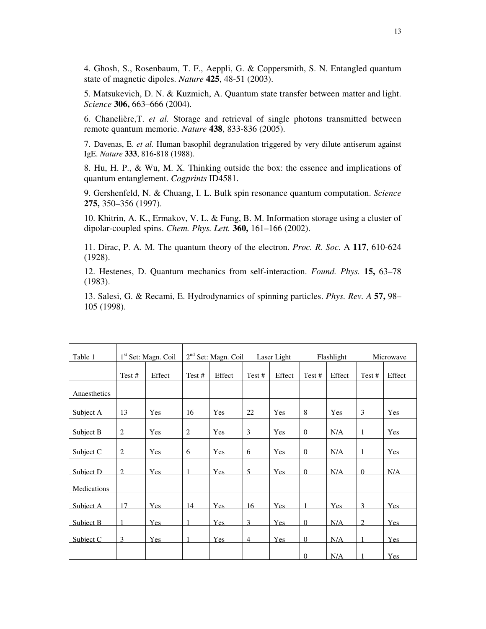4. Ghosh, S., Rosenbaum, T. F., Aeppli, G. & Coppersmith, S. N. Entangled quantum state of magnetic dipoles. *Nature* **425**, 48-51 (2003).

5. Matsukevich, D. N. & Kuzmich, A. Quantum state transfer between matter and light. *Science* **306,** 663–666 (2004).

6. Chanelière,T. *et al.* Storage and retrieval of single photons transmitted between remote quantum memorie. *Nature* **438**, 833-836 (2005).

7. Davenas, E. *et al.* Human basophil degranulation triggered by very dilute antiserum against IgE. *Nature* **333**, 816-818 (1988).

8. Hu, H. P., & Wu, M. X. Thinking outside the box: the essence and implications of quantum entanglement. *Cogprints* ID4581.

9. Gershenfeld, N. & Chuang, I. L. Bulk spin resonance quantum computation. *Science* **275,** 350–356 (1997).

10. Khitrin, A. K., Ermakov, V. L. & Fung, B. M. Information storage using a cluster of dipolar-coupled spins. *Chem. Phys. Lett.* **360,** 161–166 (2002).

11. Dirac, P. A. M. The quantum theory of the electron. *Proc. R. Soc.* A **117**, 610-624 (1928).

12. Hestenes, D. Quantum mechanics from self-interaction. *Found. Phys.* **15,** 63–78 (1983).

13. Salesi, G. & Recami, E. Hydrodynamics of spinning particles. *Phys. Rev. A* **57,** 98– 105 (1998).

| Table 1      |                | $1st$ Set: Magn. Coil | 2 <sup>nd</sup> Set: Magn. Coil<br>Laser Light |        |                |            | Flashlight     |        | Microwave      |        |
|--------------|----------------|-----------------------|------------------------------------------------|--------|----------------|------------|----------------|--------|----------------|--------|
|              | Test#          | Effect                | Test#                                          | Effect | Test #         | Effect     | Test #         | Effect | Test#          | Effect |
| Anaesthetics |                |                       |                                                |        |                |            |                |        |                |        |
| Subject A    | 13             | Yes                   | 16                                             | Yes    | 22             | Yes        | 8              | Yes    | 3              | Yes    |
| Subject B    | $\overline{2}$ | Yes                   | $\overline{c}$                                 | Yes    | 3              | Yes        | $\overline{0}$ | N/A    | $\mathbf{1}$   | Yes    |
| Subject C    | 2              | Yes                   | 6                                              | Yes    | 6              | Yes        | $\overline{0}$ | N/A    | $\mathbf{1}$   | Yes    |
| Subject D    | $\overline{2}$ | Yes                   |                                                | Yes    | 5              | <b>Yes</b> | $\overline{0}$ | N/A    | $\overline{0}$ | N/A    |
| Medications  |                |                       |                                                |        |                |            |                |        |                |        |
| Subject A    | 17             | <b>Yes</b>            | 14                                             | Yes    | 16             | Yes        |                | Yes    | 3              | Yes    |
| Subject B    |                | <b>Yes</b>            |                                                | Yes    | 3              | <b>Yes</b> | $\mathbf{0}$   | N/A    | 2              | Yes    |
| Subject C    | 3              | Yes                   | 1                                              | Yes    | $\overline{4}$ | Yes        | $\overline{0}$ | N/A    |                | Yes    |
|              |                |                       |                                                |        |                |            | $\Omega$       | N/A    |                | Yes    |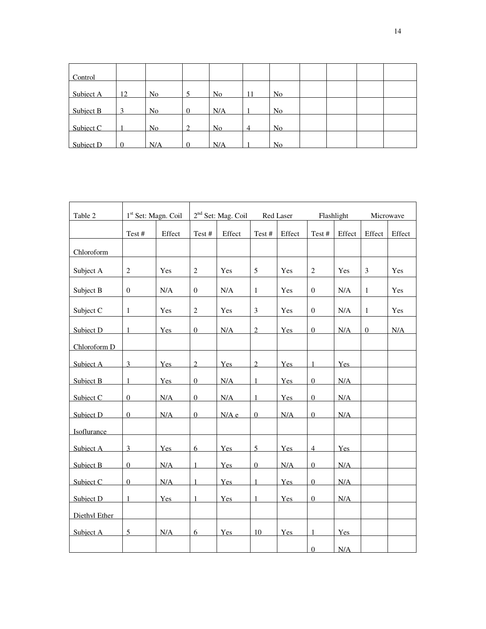| Control   |          |                |                |                |                |                |  |  |
|-----------|----------|----------------|----------------|----------------|----------------|----------------|--|--|
| Subject A | 12       | N <sub>o</sub> |                | N <sub>o</sub> | 11             | N <sub>o</sub> |  |  |
| Subject B | 3        | No             | $\overline{0}$ | N/A            |                | N <sub>o</sub> |  |  |
| Subject C |          | N <sub>o</sub> | ∍              | N <sub>o</sub> | $\overline{4}$ | N <sub>o</sub> |  |  |
| Subject D | $\Omega$ | N/A            | $\Omega$       | N/A            |                | N <sub>o</sub> |  |  |

| Table 2       | 1 <sup>st</sup> Set: Magn. Coil |            | 2 <sup>nd</sup> Set: Mag. Coil<br>Red Laser |            |                | Flashlight   |                  |            | Microwave      |        |
|---------------|---------------------------------|------------|---------------------------------------------|------------|----------------|--------------|------------------|------------|----------------|--------|
|               | Test#                           | Effect     | Test#                                       | Effect     | Test #         | $\rm Effect$ | Test#            | Effect     | Effect         | Effect |
| Chloroform    |                                 |            |                                             |            |                |              |                  |            |                |        |
| Subject A     | $\sqrt{2}$                      | Yes        | $\overline{c}$                              | Yes        | 5              | Yes          | $\sqrt{2}$       | Yes        | $\mathfrak{Z}$ | Yes    |
| Subject B     | $\boldsymbol{0}$                | N/A        | $\boldsymbol{0}$                            | N/A        | $\mathbf{1}$   | Yes          | $\boldsymbol{0}$ | N/A        | $\mathbf{1}$   | Yes    |
| Subject C     | $\mathbf{1}$                    | Yes        | $\overline{2}$                              | Yes        | $\overline{3}$ | Yes          | $\mathbf{0}$     | N/A        | $\mathbf{1}$   | Yes    |
| Subject D     | 1                               | Yes        | $\overline{0}$                              | N/A        | $\overline{2}$ | Yes          | $\overline{0}$   | N/A        | $\overline{0}$ | N/A    |
| Chloroform D  |                                 |            |                                             |            |                |              |                  |            |                |        |
| Subject A     | 3                               | <b>Yes</b> | $\overline{2}$                              | <b>Yes</b> | $\overline{2}$ | <b>Yes</b>   | 1                | <b>Yes</b> |                |        |
| Subject B     |                                 | <b>Yes</b> | $\overline{0}$                              | N/A        | $\mathbf{1}$   | <b>Yes</b>   | $\overline{0}$   | N/A        |                |        |
| Subject C     | $\boldsymbol{0}$                | N/A        | $\boldsymbol{0}$                            | N/A        | $\mathbf{1}$   | Yes          | $\overline{0}$   | N/A        |                |        |
| Subject D     | $\overline{0}$                  | N/A        | $\overline{0}$                              | N/A e      | $\overline{0}$ | N/A          | $\overline{0}$   | N/A        |                |        |
| Isoflurance   |                                 |            |                                             |            |                |              |                  |            |                |        |
| Subject A     | 3                               | Yes        | 6                                           | <b>Yes</b> | $\overline{5}$ | Yes          | $\overline{4}$   | Yes        |                |        |
| Subiect B     | $\Omega$                        | N/A        | $\mathbf{1}$                                | Yes        | $\overline{0}$ | N/A          | $\overline{0}$   | N/A        |                |        |
| Subject C     | $\Omega$                        | N/A        | $\mathbf{1}$                                | <b>Yes</b> | $\mathbf{1}$   | Yes          | $\overline{0}$   | N/A        |                |        |
| Subject D     |                                 | <b>Yes</b> | $\mathbf{1}$                                | <b>Yes</b> | 1              | <b>Yes</b>   | $\overline{0}$   | N/A        |                |        |
| Diethyl Ether |                                 |            |                                             |            |                |              |                  |            |                |        |
| Subject A     | 5                               | N/A        | 6                                           | Yes        | 10             | <b>Yes</b>   | 1                | <b>Yes</b> |                |        |
|               |                                 |            |                                             |            |                |              | $\mathbf{0}$     | N/A        |                |        |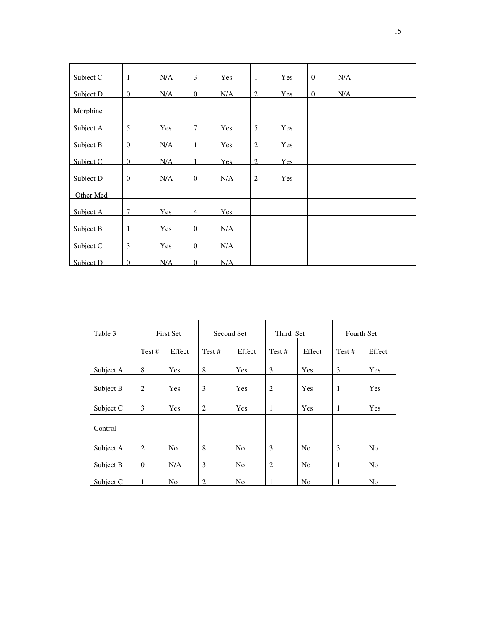| Subject C | 1              | N/A | 3              | <b>Yes</b> | $\mathbf{1}$   | Yes        | $\overline{0}$ | N/A |  |
|-----------|----------------|-----|----------------|------------|----------------|------------|----------------|-----|--|
| Subject D | $\mathbf{0}$   | N/A | $\overline{0}$ | N/A        | 2              | <b>Yes</b> | $\mathbf{0}$   | N/A |  |
| Morphine  |                |     |                |            |                |            |                |     |  |
| Subject A | 5              | Yes | $\tau$         | <b>Yes</b> | 5              | <b>Yes</b> |                |     |  |
| Subject B | $\Omega$       | N/A | $\mathbf{1}$   | <b>Yes</b> | 2              | <b>Yes</b> |                |     |  |
| Subject C | $\overline{0}$ | N/A | $\mathbf{1}$   | <b>Yes</b> | $\overline{2}$ | <b>Yes</b> |                |     |  |
| Subject D | $\mathbf{0}$   | N/A | $\mathbf{0}$   | N/A        | $\overline{2}$ | Yes        |                |     |  |
| Other Med |                |     |                |            |                |            |                |     |  |
| Subject A | $\tau$         | Yes | $\overline{4}$ | Yes        |                |            |                |     |  |
| Subject B | 1              | Yes | $\overline{0}$ | N/A        |                |            |                |     |  |
| Subiect C | 3              | Yes | $\overline{0}$ | N/A        |                |            |                |     |  |
| Subject D | $\Omega$       | N/A | $\overline{0}$ | N/A        |                |            |                |     |  |

| Table 3   | <b>First Set</b> |                | Second Set |                | Third Set |                | Fourth Set |                |
|-----------|------------------|----------------|------------|----------------|-----------|----------------|------------|----------------|
|           | Test #           | Effect         | Test#      | Effect         | Test#     | Effect         | Test#      | Effect         |
| Subject A | 8                | Yes            | 8          | Yes            | 3         | Yes            | 3          | Yes            |
| Subject B | $\overline{2}$   | Yes            | 3          | Yes            | 2         | Yes            | 1          | Yes            |
| Subject C | 3                | Yes            | 2          | Yes            | 1         | Yes            | 1          | Yes            |
|           |                  |                |            |                |           |                |            |                |
| Control   |                  |                |            |                |           |                |            |                |
| Subject A | $\mathfrak{2}$   | N <sub>o</sub> | 8          | No             | 3         | No             | 3          | N <sub>o</sub> |
| Subject B | $\boldsymbol{0}$ | N/A            | 3          | No             | 2         | No             | 1          | No             |
| Subject C |                  | No             | 2          | N <sub>o</sub> |           | N <sub>o</sub> |            | N <sub>o</sub> |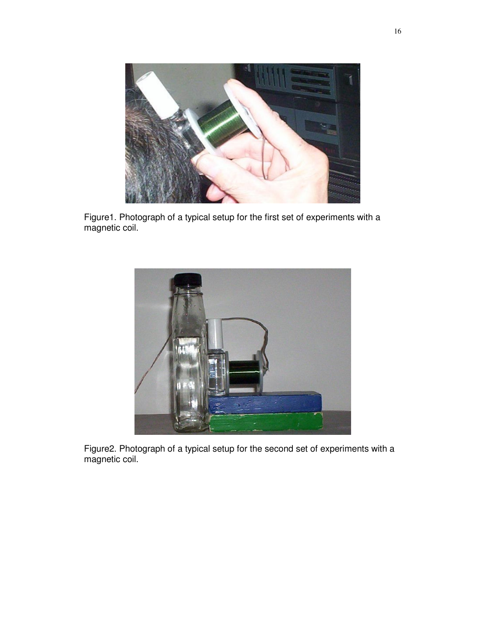

Figure1. Photograph of a typical setup for the first set of experiments with a magnetic coil.



Figure2. Photograph of a typical setup for the second set of experiments with a magnetic coil.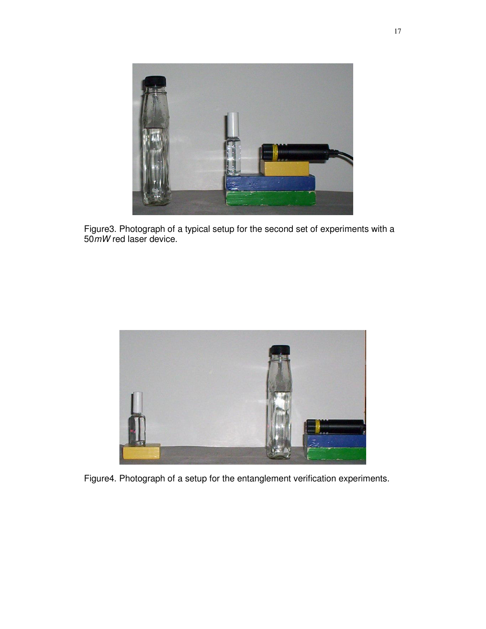

Figure3. Photograph of a typical setup for the second set of experiments with a 50*mW* red laser device.



Figure4. Photograph of a setup for the entanglement verification experiments.